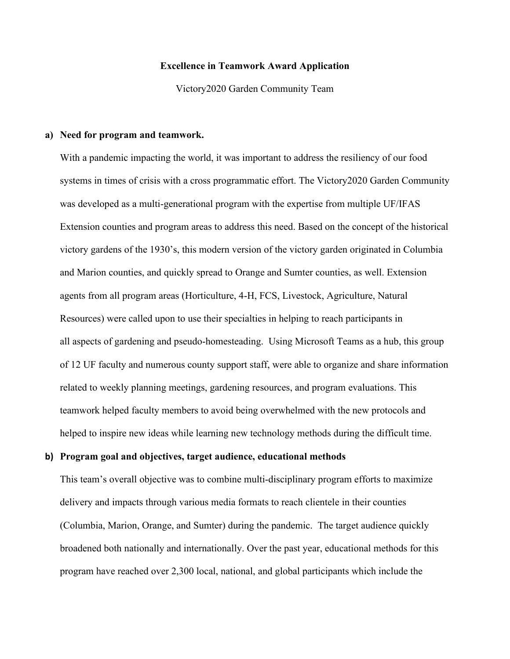# **Excellence in Teamwork Award Application**

Victory2020 Garden Community Team

### **a) Need for program and teamwork.**

With a pandemic impacting the world, it was important to address the resiliency of our food systems in times of crisis with a cross programmatic effort. The Victory2020 Garden Community was developed as a multi-generational program with the expertise from multiple UF/IFAS Extension counties and program areas to address this need. Based on the concept of the historical victory gardens of the 1930's, this modern version of the victory garden originated in Columbia and Marion counties, and quickly spread to Orange and Sumter counties, as well. Extension agents from all program areas (Horticulture, 4-H, FCS, Livestock, Agriculture, Natural Resources) were called upon to use their specialties in helping to reach participants in all aspects of gardening and pseudo-homesteading. Using Microsoft Teams as a hub, this group of 12 UF faculty and numerous county support staff, were able to organize and share information related to weekly planning meetings, gardening resources, and program evaluations. This teamwork helped faculty members to avoid being overwhelmed with the new protocols and helped to inspire new ideas while learning new technology methods during the difficult time.

### **b) Program goal and objectives, target audience, educational methods**

This team's overall objective was to combine multi-disciplinary program efforts to maximize delivery and impacts through various media formats to reach clientele in their counties (Columbia, Marion, Orange, and Sumter) during the pandemic. The target audience quickly broadened both nationally and internationally. Over the past year, educational methods for this program have reached over 2,300 local, national, and global participants which include the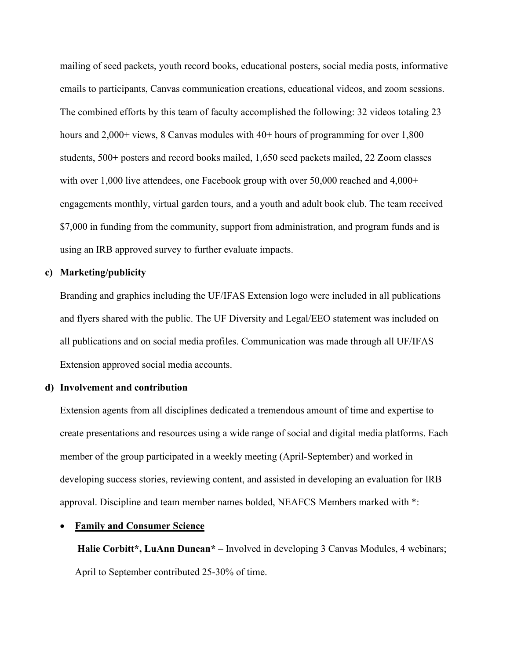mailing of seed packets, youth record books, educational posters, social media posts, informative emails to participants, Canvas communication creations, educational videos, and zoom sessions. The combined efforts by this team of faculty accomplished the following: 32 videos totaling 23 hours and 2,000+ views, 8 Canvas modules with 40+ hours of programming for over 1,800 students, 500+ posters and record books mailed, 1,650 seed packets mailed, 22 Zoom classes with over 1,000 live attendees, one Facebook group with over  $50,000$  reached and  $4,000+$ engagements monthly, virtual garden tours, and a youth and adult book club. The team received \$7,000 in funding from the community, support from administration, and program funds and is using an IRB approved survey to further evaluate impacts.

# **c) Marketing/publicity**

Branding and graphics including the UF/IFAS Extension logo were included in all publications and flyers shared with the public. The UF Diversity and Legal/EEO statement was included on all publications and on social media profiles. Communication was made through all UF/IFAS Extension approved social media accounts.

### **d) Involvement and contribution**

Extension agents from all disciplines dedicated a tremendous amount of time and expertise to create presentations and resources using a wide range of social and digital media platforms. Each member of the group participated in a weekly meeting (April-September) and worked in developing success stories, reviewing content, and assisted in developing an evaluation for IRB approval. Discipline and team member names bolded, NEAFCS Members marked with \*:

# **Family and Consumer Science**

**Halie Corbitt\*, LuAnn Duncan\*** – Involved in developing 3 Canvas Modules, 4 webinars; April to September contributed 25-30% of time.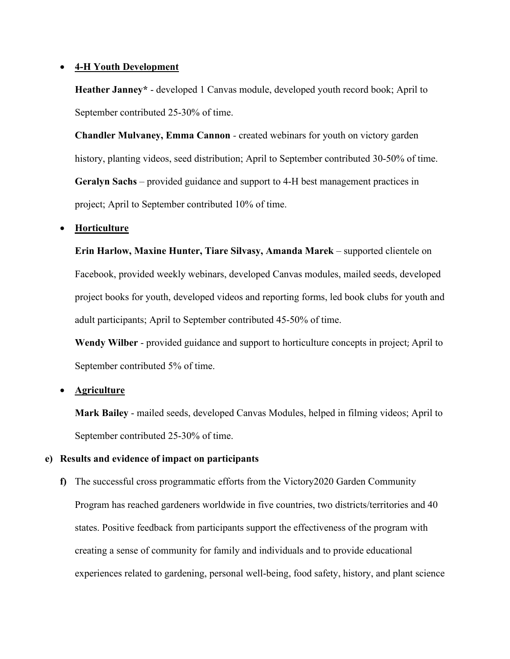# • **4-H Youth Development**

**Heather Janney\*** - developed 1 Canvas module, developed youth record book; April to September contributed 25-30% of time.

**Chandler Mulvaney, Emma Cannon** *-* created webinars for youth on victory garden history, planting videos, seed distribution; April to September contributed 30-50% of time. **Geralyn Sachs** – provided guidance and support to 4-H best management practices in project; April to September contributed 10% of time.

# • **Horticulture**

**Erin Harlow, Maxine Hunter, Tiare Silvasy, Amanda Marek** – supported clientele on Facebook, provided weekly webinars, developed Canvas modules, mailed seeds, developed project books for youth, developed videos and reporting forms, led book clubs for youth and adult participants; April to September contributed 45-50% of time.

**Wendy Wilber** - provided guidance and support to horticulture concepts in project; April to September contributed 5% of time.

# • **Agriculture**

**Mark Bailey** - mailed seeds, developed Canvas Modules, helped in filming videos; April to September contributed 25-30% of time.

# **e) Results and evidence of impact on participants**

**f)** The successful cross programmatic efforts from the Victory2020 Garden Community Program has reached gardeners worldwide in five countries, two districts/territories and 40 states. Positive feedback from participants support the effectiveness of the program with creating a sense of community for family and individuals and to provide educational experiences related to gardening, personal well-being, food safety, history, and plant science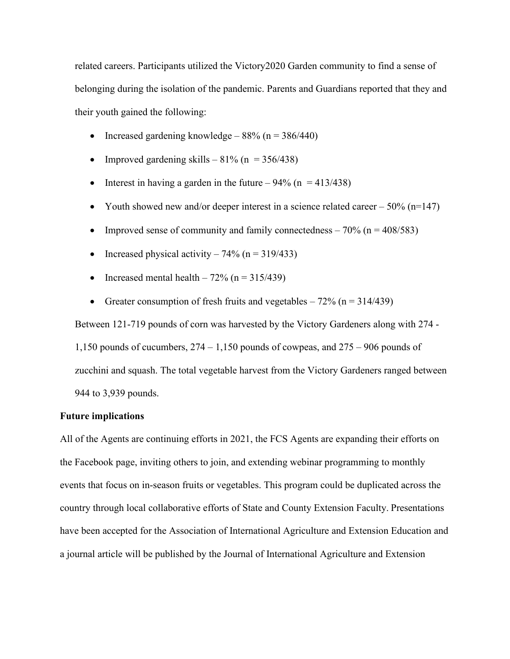related careers. Participants utilized the Victory2020 Garden community to find a sense of belonging during the isolation of the pandemic. Parents and Guardians reported that they and their youth gained the following:

- Increased gardening knowledge  $88\%$  (n =  $386/440$ )
- Improved gardening skills  $81\%$  (n = 356/438)
- Interest in having a garden in the future  $94\%$  (n = 413/438)
- Youth showed new and/or deeper interest in a science related career  $-50\%$  (n=147)
- Improved sense of community and family connectedness  $-70\%$  (n = 408/583)
- Increased physical activity  $74\%$  (n = 319/433)
- Increased mental health  $-72\%$  (n = 315/439)
- Greater consumption of fresh fruits and vegetables  $-72\%$  (n = 314/439)

Between 121-719 pounds of corn was harvested by the Victory Gardeners along with 274 -

1,150 pounds of cucumbers,  $274 - 1,150$  pounds of cowpeas, and  $275 - 906$  pounds of zucchini and squash. The total vegetable harvest from the Victory Gardeners ranged between 944 to 3,939 pounds.

# **Future implications**

All of the Agents are continuing efforts in 2021, the FCS Agents are expanding their efforts on the Facebook page, inviting others to join, and extending webinar programming to monthly events that focus on in-season fruits or vegetables. This program could be duplicated across the country through local collaborative efforts of State and County Extension Faculty. Presentations have been accepted for the Association of International Agriculture and Extension Education and a journal article will be published by the Journal of International Agriculture and Extension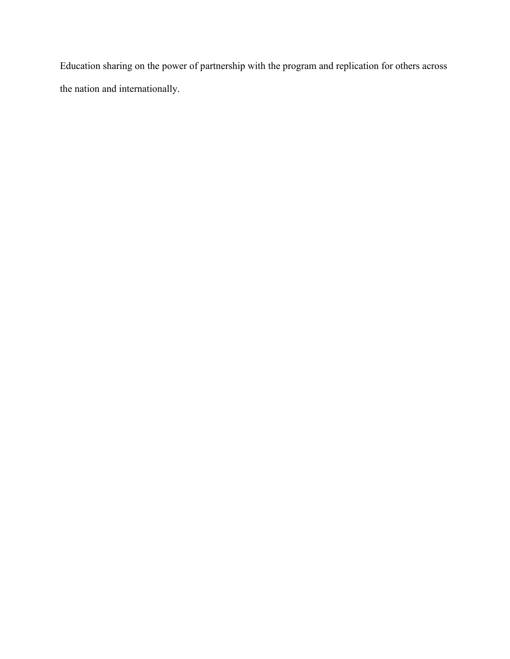Education sharing on the power of partnership with the program and replication for others across the nation and internationally.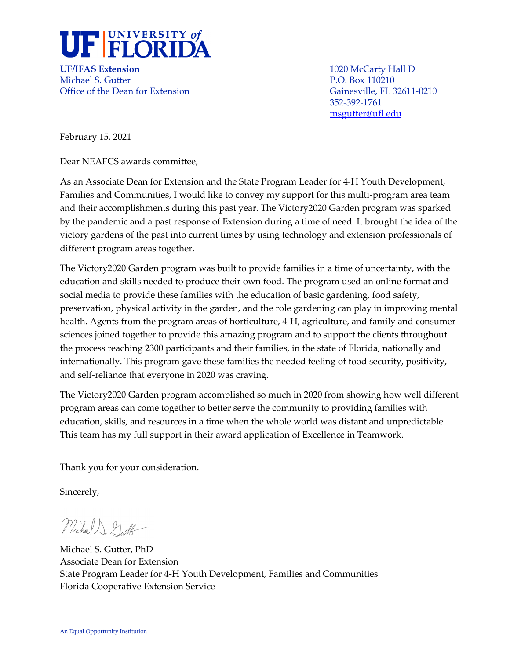

**UF/IFAS Extension** 1020 McCarty Hall D Michael S. Gutter **P.O. Box 110210** Office of the Dean for Extension Gainesville, FL 32611-0210

352-392-1761 [msgutter@ufl.edu](mailto:msgutter@ufl.edu)

February 15, 2021

Dear NEAFCS awards committee,

As an Associate Dean for Extension and the State Program Leader for 4-H Youth Development, Families and Communities, I would like to convey my support for this multi-program area team and their accomplishments during this past year. The Victory2020 Garden program was sparked by the pandemic and a past response of Extension during a time of need. It brought the idea of the victory gardens of the past into current times by using technology and extension professionals of different program areas together.

The Victory2020 Garden program was built to provide families in a time of uncertainty, with the education and skills needed to produce their own food. The program used an online format and social media to provide these families with the education of basic gardening, food safety, preservation, physical activity in the garden, and the role gardening can play in improving mental health. Agents from the program areas of horticulture, 4-H, agriculture, and family and consumer sciences joined together to provide this amazing program and to support the clients throughout the process reaching 2300 participants and their families, in the state of Florida, nationally and internationally. This program gave these families the needed feeling of food security, positivity, and self-reliance that everyone in 2020 was craving.

The Victory2020 Garden program accomplished so much in 2020 from showing how well different program areas can come together to better serve the community to providing families with education, skills, and resources in a time when the whole world was distant and unpredictable. This team has my full support in their award application of Excellence in Teamwork.

Thank you for your consideration.

Sincerely,

Michael D. Gutt

Michael S. Gutter, PhD Associate Dean for Extension State Program Leader for 4-H Youth Development, Families and Communities Florida Cooperative Extension Service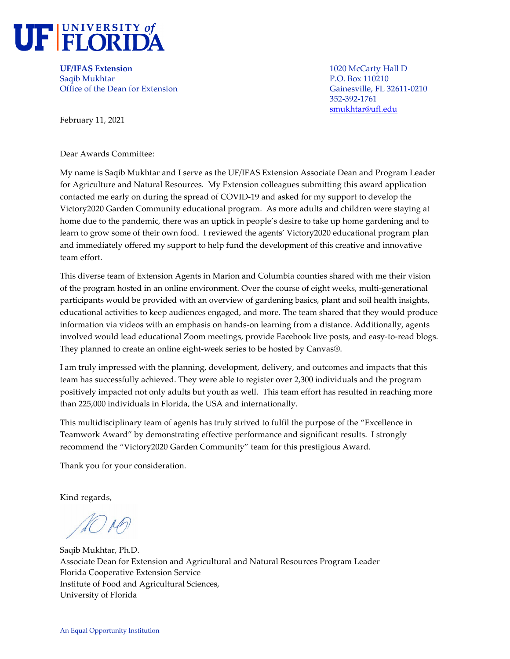

**UF/IFAS Extension** 1020 McCarty Hall D Saqib Mukhtar P.O. Box 110210 Office of the Dean for Extension Gainesville, FL 32611-0210

352-392-1761 [smukhtar@ufl.edu](mailto:smukhtar@ufl.edu)

February 11, 2021

Dear Awards Committee:

My name is Saqib Mukhtar and I serve as the UF/IFAS Extension Associate Dean and Program Leader for Agriculture and Natural Resources. My Extension colleagues submitting this award application contacted me early on during the spread of COVID-19 and asked for my support to develop the Victory2020 Garden Community educational program. As more adults and children were staying at home due to the pandemic, there was an uptick in people's desire to take up home gardening and to learn to grow some of their own food. I reviewed the agents' Victory2020 educational program plan and immediately offered my support to help fund the development of this creative and innovative team effort.

This diverse team of Extension Agents in Marion and Columbia counties shared with me their vision of the program hosted in an online environment. Over the course of eight weeks, multi-generational participants would be provided with an overview of gardening basics, plant and soil health insights, educational activities to keep audiences engaged, and more. The team shared that they would produce information via videos with an emphasis on hands-on learning from a distance. Additionally, agents involved would lead educational Zoom meetings, provide Facebook live posts, and easy-to-read blogs. They planned to create an online eight-week series to be hosted by Canvas®.

I am truly impressed with the planning, development, delivery, and outcomes and impacts that this team has successfully achieved. They were able to register over 2,300 individuals and the program positively impacted not only adults but youth as well. This team effort has resulted in reaching more than 225,000 individuals in Florida, the USA and internationally.

This multidisciplinary team of agents has truly strived to fulfil the purpose of the "Excellence in Teamwork Award" by demonstrating effective performance and significant results. I strongly recommend the "Victory2020 Garden Community" team for this prestigious Award.

Thank you for your consideration.

Kind regards,

D ND

Saqib Mukhtar, Ph.D. Associate Dean for Extension and Agricultural and Natural Resources Program Leader Florida Cooperative Extension Service Institute of Food and Agricultural Sciences, University of Florida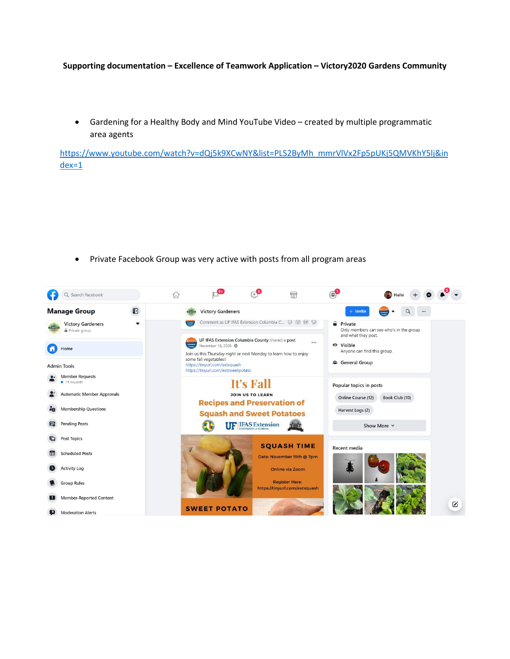#### **Supporting documentation – Excellence of Teamwork Application – Victory2020 Gardens Community**

• Gardening for a Healthy Body and Mind YouTube Video – created by multiple programmatic area agents

[https://www.youtube.com/watch?v=dQj5k9XCwNY&list=PLS2ByMh\\_mmrVlVx2Fp5pUKj5QMVKhY5lj&in](https://www.youtube.com/watch?v=dQj5k9XCwNY&list=PLS2ByMh_mmrVlVx2Fp5pUKj5QMVKhY5lj&index=1) [dex=1](https://www.youtube.com/watch?v=dQj5k9XCwNY&list=PLS2ByMh_mmrVlVx2Fp5pUKj5QMVKhY5lj&index=1)

• Private Facebook Group was very active with posts from all program areas